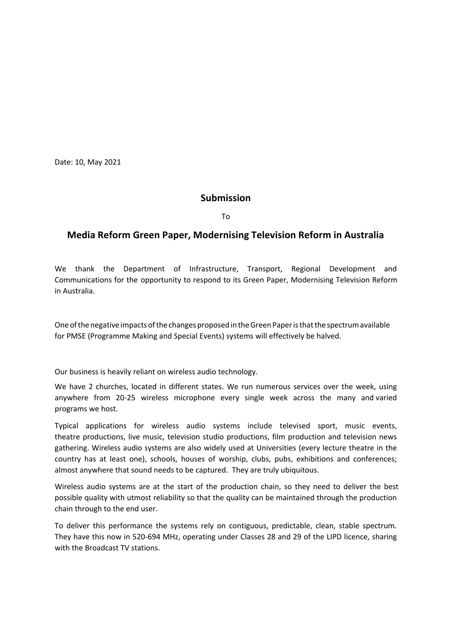Date: 10, May 2021

#### **Submission**

To

## **Media Reform Green Paper, Modernising Television Reform in Australia**

We thank the Department of Infrastructure, Transport, Regional Development and Communications for the opportunity to respond to its Green Paper, Modernising Television Reform in Australia.

One of the negative impacts of the changes proposed in the Green Paper is that the spectrum available for PMSE (Programme Making and Special Events) systems will effectively be halved.

Our business is heavily reliant on wireless audio technology.

We have 2 churches, located in different states. We run numerous services over the week, using anywhere from 20-25 wireless microphone every single week across the many and varied programs we host.

Typical applications for wireless audio systems include televised sport, music events, theatre productions, live music, television studio productions, film production and television news gathering. Wireless audio systems are also widely used at Universities (every lecture theatre in the country has at least one), schools, houses of worship, clubs, pubs, exhibitions and conferences; almost anywhere that sound needs to be captured. They are truly ubiquitous.

Wireless audio systems are at the start of the production chain, so they need to deliver the best possible quality with utmost reliability so that the quality can be maintained through the production chain through to the end user.

To deliver this performance the systems rely on contiguous, predictable, clean, stable spectrum. They have this now in 520-694 MHz, operating under Classes 28 and 29 of the LIPD licence, sharing with the Broadcast TV stations.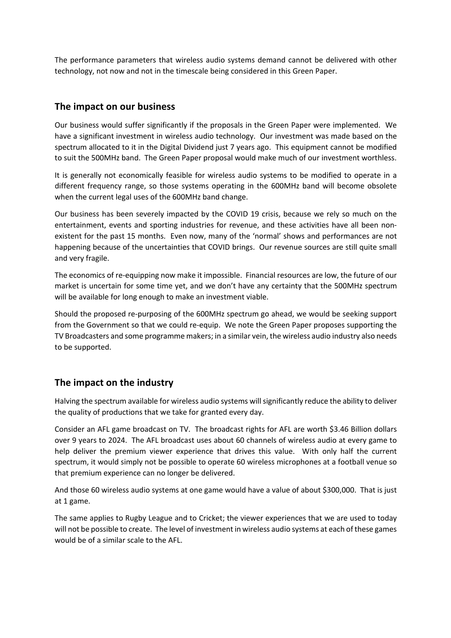The performance parameters that wireless audio systems demand cannot be delivered with other technology, not now and not in the timescale being considered in this Green Paper.

## **The impact on our business**

Our business would suffer significantly if the proposals in the Green Paper were implemented. We have a significant investment in wireless audio technology. Our investment was made based on the spectrum allocated to it in the Digital Dividend just 7 years ago. This equipment cannot be modified to suit the 500MHz band. The Green Paper proposal would make much of our investment worthless.

It is generally not economically feasible for wireless audio systems to be modified to operate in a different frequency range, so those systems operating in the 600MHz band will become obsolete when the current legal uses of the 600MHz band change.

Our business has been severely impacted by the COVID 19 crisis, because we rely so much on the entertainment, events and sporting industries for revenue, and these activities have all been nonexistent for the past 15 months. Even now, many of the 'normal' shows and performances are not happening because of the uncertainties that COVID brings. Our revenue sources are still quite small and very fragile.

The economics of re-equipping now make it impossible. Financial resources are low, the future of our market is uncertain for some time yet, and we don't have any certainty that the 500MHz spectrum will be available for long enough to make an investment viable.

Should the proposed re-purposing of the 600MHz spectrum go ahead, we would be seeking support from the Government so that we could re-equip. We note the Green Paper proposes supporting the TV Broadcasters and some programme makers; in a similar vein, the wireless audio industry also needs to be supported.

# **The impact on the industry**

Halving the spectrum available for wireless audio systems will significantly reduce the ability to deliver the quality of productions that we take for granted every day.

Consider an AFL game broadcast on TV. The broadcast rights for AFL are worth \$3.46 Billion dollars over 9 years to 2024. The AFL broadcast uses about 60 channels of wireless audio at every game to help deliver the premium viewer experience that drives this value. With only half the current spectrum, it would simply not be possible to operate 60 wireless microphones at a football venue so that premium experience can no longer be delivered.

And those 60 wireless audio systems at one game would have a value of about \$300,000. That is just at 1 game.

The same applies to Rugby League and to Cricket; the viewer experiences that we are used to today will not be possible to create. The level of investment in wireless audio systems at each of these games would be of a similar scale to the AFL.